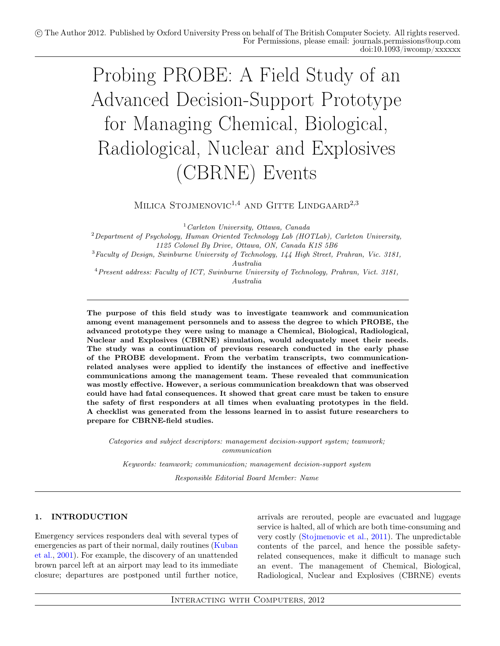# Probing PROBE: A Field Study of an Advanced Decision-Support Prototype for Managing Chemical, Biological, Radiological, Nuclear and Explosives (CBRNE) Events

MILICA STOJMENOVIC<sup>1,4</sup> AND GITTE LINDGAARD<sup>2,3</sup>

 $1$  Carleton University, Ottawa, Canada

 $2$ Department of Psychology, Human Oriented Technology Lab (HOTLab), Carleton University, 1125 Colonel By Drive, Ottawa, ON, Canada K1S 5B6

 $3$ Faculty of Design, Swinburne University of Technology, 144 High Street, Prahran, Vic. 3181, Australia

<sup>4</sup>Present address: Faculty of ICT, Swinburne University of Technology, Prahran, Vict. 3181, Australia

The purpose of this field study was to investigate teamwork and communication among event management personnels and to assess the degree to which PROBE, the advanced prototype they were using to manage a Chemical, Biological, Radiological, Nuclear and Explosives (CBRNE) simulation, would adequately meet their needs. The study was a continuation of previous research conducted in the early phase of the PROBE development. From the verbatim transcripts, two communicationrelated analyses were applied to identify the instances of effective and ineffective communications among the management team. These revealed that communication was mostly effective. However, a serious communication breakdown that was observed could have had fatal consequences. It showed that great care must be taken to ensure the safety of first responders at all times when evaluating prototypes in the field. A checklist was generated from the lessons learned in to assist future researchers to prepare for CBRNE-field studies.

Categories and subject descriptors: management decision-support system; teamwork; communication

Keywords: teamwork; communication; management decision-support system

Responsible Editorial Board Member: Name

# 1. INTRODUCTION

Emergency services responders deal with several types of emergencies as part of their normal, daily routines [\(Kuban](#page-14-0) [et al.,](#page-14-0) [2001\)](#page-14-0). For example, the discovery of an unattended brown parcel left at an airport may lead to its immediate closure; departures are postponed until further notice,

arrivals are rerouted, people are evacuated and luggage service is halted, all of which are both time-consuming and very costly [\(Stojmenovic et al.,](#page-15-0) [2011\)](#page-15-0). The unpredictable contents of the parcel, and hence the possible safetyrelated consequences, make it difficult to manage such an event. The management of Chemical, Biological, Radiological, Nuclear and Explosives (CBRNE) events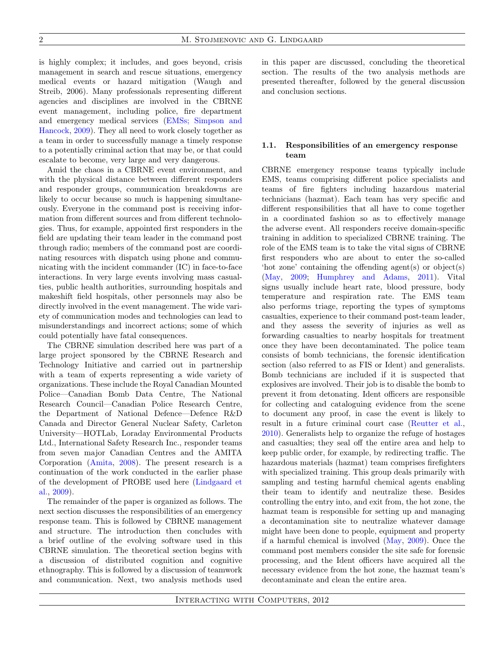is highly complex; it includes, and goes beyond, crisis management in search and rescue situations, emergency medical events or hazard mitigation (Waugh and Streib, 2006). Many professionals representing different agencies and disciplines are involved in the CBRNE event management, including police, fire department and emergency medical services [\(EMSs; Simpson and](#page-15-1) [Hancock,](#page-15-1) [2009\)](#page-15-1). They all need to work closely together as a team in order to successfully manage a timely response to a potentially criminal action that may be, or that could escalate to become, very large and very dangerous.

Amid the chaos in a CBRNE event environment, and with the physical distance between different responders and responder groups, communication breakdowns are likely to occur because so much is happening simultaneously. Everyone in the command post is receiving information from different sources and from different technologies. Thus, for example, appointed first responders in the field are updating their team leader in the command post through radio; members of the command post are coordinating resources with dispatch using phone and communicating with the incident commander (IC) in face-to-face interactions. In very large events involving mass casualties, public health authorities, surrounding hospitals and makeshift field hospitals, other personnels may also be directly involved in the event management. The wide variety of communication modes and technologies can lead to misunderstandings and incorrect actions; some of which could potentially have fatal consequences.

The CBRNE simulation described here was part of a large project sponsored by the CBRNE Research and Technology Initiative and carried out in partnership with a team of experts representing a wide variety of organizations. These include the Royal Canadian Mounted Police—Canadian Bomb Data Centre, The National Research Council—Canadian Police Research Centre, the Department of National Defence—Defence R&D Canada and Director General Nuclear Safety, Carleton University—HOTLab, Loraday Environmental Products Ltd., International Safety Research Inc., responder teams from seven major Canadian Centres and the AMITA Corporation [\(Amita,](#page-14-1) [2008\)](#page-14-1). The present research is a continuation of the work conducted in the earlier phase of the development of PROBE used here [\(Lindgaard et](#page-14-2) [al.,](#page-14-2) [2009\)](#page-14-2).

The remainder of the paper is organized as follows. The next section discusses the responsibilities of an emergency response team. This is followed by CBRNE management and structure. The introduction then concludes with a brief outline of the evolving software used in this CBRNE simulation. The theoretical section begins with a discussion of distributed cognition and cognitive ethnography. This is followed by a discussion of teamwork and communication. Next, two analysis methods used in this paper are discussed, concluding the theoretical section. The results of the two analysis methods are presented thereafter, followed by the general discussion and conclusion sections.

## 1.1. Responsibilities of an emergency response team

CBRNE emergency response teams typically include EMS, teams comprising different police specialists and teams of fire fighters including hazardous material technicians (hazmat). Each team has very specific and different responsibilities that all have to come together in a coordinated fashion so as to effectively manage the adverse event. All responders receive domain-specific training in addition to specialized CBRNE training. The role of the EMS team is to take the vital signs of CBRNE first responders who are about to enter the so-called 'hot zone' containing the offending agent(s) or object(s) [\(May,](#page-14-3) [2009;](#page-14-3) [Humphrey and Adams,](#page-14-4) [2011\)](#page-14-4). Vital signs usually include heart rate, blood pressure, body temperature and respiration rate. The EMS team also performs triage, reporting the types of symptoms casualties, experience to their command post-team leader, and they assess the severity of injuries as well as forwarding casualties to nearby hospitals for treatment once they have been decontaminated. The police team consists of bomb technicians, the forensic identification section (also referred to as FIS or Ident) and generalists. Bomb technicians are included if it is suspected that explosives are involved. Their job is to disable the bomb to prevent it from detonating. Ident officers are responsible for collecting and cataloguing evidence from the scene to document any proof, in case the event is likely to result in a future criminal court case [\(Reutter et al.,](#page-14-5) [2010\)](#page-14-5). Generalists help to organize the refuge of hostages and casualties; they seal off the entire area and help to keep public order, for example, by redirecting traffic. The hazardous materials (hazmat) team comprises firefighters with specialized training. This group deals primarily with sampling and testing harmful chemical agents enabling their team to identify and neutralize these. Besides controlling the entry into, and exit from, the hot zone, the hazmat team is responsible for setting up and managing a decontamination site to neutralize whatever damage might have been done to people, equipment and property if a harmful chemical is involved [\(May,](#page-14-3) [2009\)](#page-14-3). Once the command post members consider the site safe for forensic processing, and the Ident officers have acquired all the necessary evidence from the hot zone, the hazmat team's decontaminate and clean the entire area.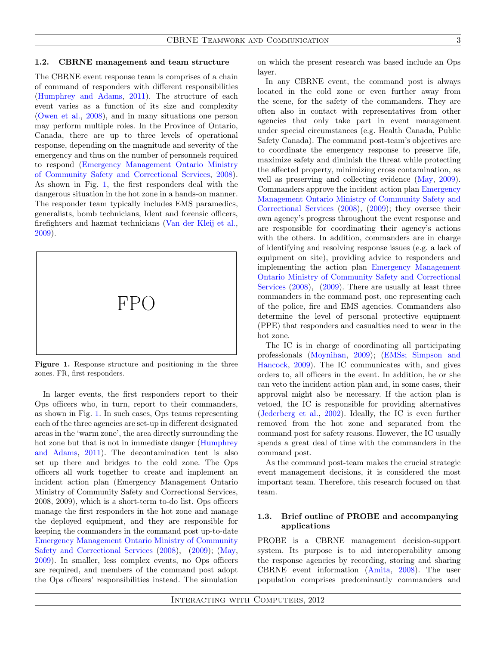#### 1.2. CBRNE management and team structure

The CBRNE event response team is comprises of a chain of command of responders with different responsibilities [\(Humphrey and Adams,](#page-14-4) [2011\)](#page-14-4). The structure of each event varies as a function of its size and complexity [\(Owen et al.,](#page-14-6) [2008\)](#page-14-6), and in many situations one person may perform multiple roles. In the Province of Ontario, Canada, there are up to three levels of operational response, depending on the magnitude and severity of the emergency and thus on the number of personnels required to respond [\(Emergency Management Ontario Ministry](#page-14-7) [of Community Safety and Correctional Services,](#page-14-7) [2008\)](#page-14-7). As shown in Fig. [1,](#page-2-0) the first responders deal with the dangerous situation in the hot zone in a hands-on manner. The responder team typically includes EMS paramedics, generalists, bomb technicians, Ident and forensic officers, firefighters and hazmat technicians [\(Van der Kleij et al.,](#page-15-2) [2009\)](#page-15-2).



<span id="page-2-0"></span>Figure 1. Response structure and positioning in the three zones. FR, first responders.

In larger events, the first responders report to their Ops officers who, in turn, report to their commanders, as shown in Fig. [1.](#page-2-0) In such cases, Ops teams representing each of the three agencies are set-up in different designated areas in the 'warm zone', the area directly surrounding the hot zone but that is not in immediate danger [\(Humphrey](#page-14-4) [and Adams,](#page-14-4) [2011\)](#page-14-4). The decontamination tent is also set up there and bridges to the cold zone. The Ops officers all work together to create and implement an incident action plan (Emergency Management Ontario Ministry of Community Safety and Correctional Services, 2008, 2009), which is a short-term to-do list. Ops officers manage the first responders in the hot zone and manage the deployed equipment, and they are responsible for keeping the commanders in the command post up-to-date [Emergency Management Ontario Ministry of Community](#page-14-7) [Safety and Correctional Services](#page-14-7) [\(2008\)](#page-14-7), [\(2009\)](#page-14-8); [\(May,](#page-14-3) [2009\)](#page-14-3). In smaller, less complex events, no Ops officers are required, and members of the command post adopt the Ops officers' responsibilities instead. The simulation

on which the present research was based include an Ops layer.

In any CBRNE event, the command post is always located in the cold zone or even further away from the scene, for the safety of the commanders. They are often also in contact with representatives from other agencies that only take part in event management under special circumstances (e.g. Health Canada, Public Safety Canada). The command post-team's objectives are to coordinate the emergency response to preserve life, maximize safety and diminish the threat while protecting the affected property, minimizing cross contamination, as well as preserving and collecting evidence [\(May,](#page-14-3) [2009\)](#page-14-3). Commanders approve the incident action plan [Emergency](#page-14-7) [Management Ontario Ministry of Community Safety and](#page-14-7) [Correctional Services](#page-14-7) [\(2008\)](#page-14-7)[,](#page-14-8) [\(2009\)](#page-14-8); they oversee their own agency's progress throughout the event response and are responsible for coordinating their agency's actions with the others. In addition, commanders are in charge of identifying and resolving response issues (e.g. a lack of equipment on site), providing advice to responders and implementing the action plan [Emergency Management](#page-14-7) [Ontario Ministry of Community Safety and Correctional](#page-14-7) [Services](#page-14-7) [\(2008\)](#page-14-7), [\(2009\)](#page-14-8). There are usually at least three commanders in the command post, one representing each of the police, fire and EMS agencies. Commanders also determine the level of personal protective equipment (PPE) that responders and casualties need to wear in the hot zone.

The IC is in charge of coordinating all participating professionals [\(Moynihan,](#page-14-9) [2009\)](#page-14-9); [\(EMSs; Simpson and](#page-15-1) [Hancock,](#page-15-1) [2009\)](#page-15-1). The IC communicates with, and gives orders to, all officers in the event. In addition, he or she can veto the incident action plan and, in some cases, their approval might also be necessary. If the action plan is vetoed, the IC is responsible for providing alternatives [\(Jederberg et al.,](#page-14-10) [2002\)](#page-14-10). Ideally, the IC is even further removed from the hot zone and separated from the command post for safety reasons. However, the IC usually spends a great deal of time with the commanders in the command post.

As the command post-team makes the crucial strategic event management decisions, it is considered the most important team. Therefore, this research focused on that team.

## 1.3. Brief outline of PROBE and accompanying applications

PROBE is a CBRNE management decision-support system. Its purpose is to aid interoperability among the response agencies by recording, storing and sharing CBRNE event information [\(Amita,](#page-14-1) [2008\)](#page-14-1). The user population comprises predominantly commanders and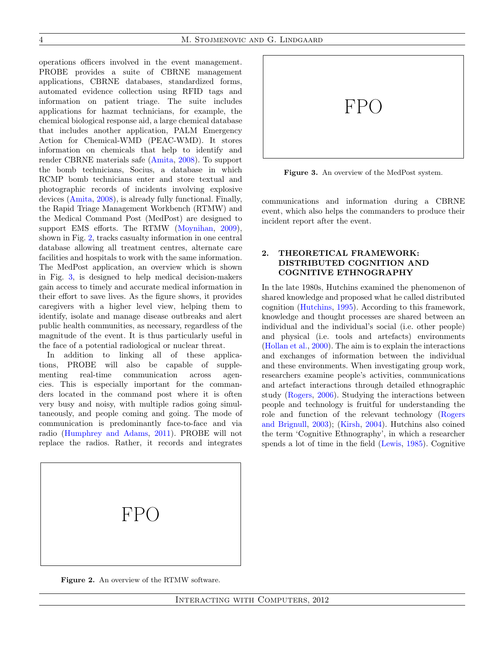4 M. Stojmenovic and G. Lindgaard

operations officers involved in the event management. PROBE provides a suite of CBRNE management applications, CBRNE databases, standardized forms, automated evidence collection using RFID tags and information on patient triage. The suite includes applications for hazmat technicians, for example, the chemical biological response aid, a large chemical database that includes another application, PALM Emergency Action for Chemical-WMD (PEAC-WMD). It stores information on chemicals that help to identify and render CBRNE materials safe [\(Amita,](#page-14-1) [2008\)](#page-14-1). To support the bomb technicians, Socius, a database in which RCMP bomb technicians enter and store textual and photographic records of incidents involving explosive devices [\(Amita,](#page-14-1) [2008\)](#page-14-1), is already fully functional. Finally, the Rapid Triage Management Workbench (RTMW) and the Medical Command Post (MedPost) are designed to support EMS efforts. The RTMW [\(Moynihan,](#page-14-9) [2009\)](#page-14-9), shown in Fig. [2,](#page-3-0) tracks casualty information in one central database allowing all treatment centres, alternate care facilities and hospitals to work with the same information. The MedPost application, an overview which is shown in Fig. [3,](#page-3-1) is designed to help medical decision-makers gain access to timely and accurate medical information in their effort to save lives. As the figure shows, it provides caregivers with a higher level view, helping them to identify, isolate and manage disease outbreaks and alert public health communities, as necessary, regardless of the magnitude of the event. It is thus particularly useful in the face of a potential radiological or nuclear threat.

In addition to linking all of these applications, PROBE will also be capable of supplementing real-time communication across agencies. This is especially important for the commanders located in the command post where it is often very busy and noisy, with multiple radios going simultaneously, and people coming and going. The mode of communication is predominantly face-to-face and via radio [\(Humphrey and Adams,](#page-14-4) [2011\)](#page-14-4). PROBE will not replace the radios. Rather, it records and integrates



Figure 3. An overview of the MedPost system.

<span id="page-3-1"></span>communications and information during a CBRNE event, which also helps the commanders to produce their incident report after the event.

# 2. THEORETICAL FRAMEWORK: DISTRIBUTED COGNITION AND COGNITIVE ETHNOGRAPHY

In the late 1980s, Hutchins examined the phenomenon of shared knowledge and proposed what he called distributed cognition [\(Hutchins,](#page-14-11) [1995\)](#page-14-11). According to this framework, knowledge and thought processes are shared between an individual and the individual's social (i.e. other people) and physical (i.e. tools and artefacts) environments [\(Hollan et al.,](#page-14-12) [2000\)](#page-14-12). The aim is to explain the interactions and exchanges of information between the individual and these environments. When investigating group work, researchers examine people's activities, communications and artefact interactions through detailed ethnographic study [\(Rogers,](#page-15-3) [2006\)](#page-15-3). Studying the interactions between people and technology is fruitful for understanding the role and function of the relevant technology [\(Rogers](#page-15-4) [and Brignull,](#page-15-4) [2003\)](#page-15-4); [\(Kirsh,](#page-14-13) [2004\)](#page-14-13). Hutchins also coined the term 'Cognitive Ethnography', in which a researcher spends a lot of time in the field [\(Lewis,](#page-14-14) [1985\)](#page-14-14). Cognitive

<span id="page-3-0"></span>

Figure 2. An overview of the RTMW software.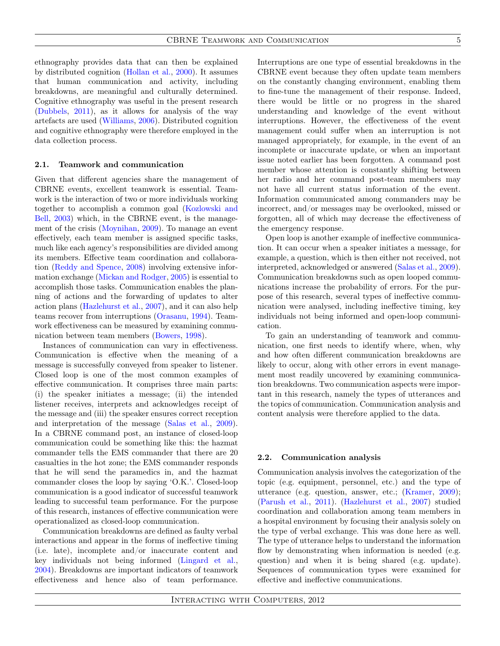ethnography provides data that can then be explained by distributed cognition [\(Hollan et al.,](#page-14-12) [2000\)](#page-14-12). It assumes that human communication and activity, including breakdowns, are meaningful and culturally determined. Cognitive ethnography was useful in the present research [\(Dubbels,](#page-14-15) [2011\)](#page-14-15), as it allows for analysis of the way artefacts are used [\(Williams,](#page-15-5) [2006\)](#page-15-5). Distributed cognition and cognitive ethnography were therefore employed in the data collection process.

# 2.1. Teamwork and communication

Given that different agencies share the management of CBRNE events, excellent teamwork is essential. Teamwork is the interaction of two or more individuals working together to accomplish a common goal [\(Kozlowski and](#page-14-16) [Bell,](#page-14-16) [2003\)](#page-14-16) which, in the CBRNE event, is the management of the crisis [\(Moynihan,](#page-14-9) [2009\)](#page-14-9). To manage an event effectively, each team member is assigned specific tasks, much like each agency's responsibilities are divided among its members. Effective team coordination and collaboration [\(Reddy and Spence,](#page-14-17) [2008\)](#page-14-17) involving extensive information exchange [\(Mickan and Rodger,](#page-14-18) [2005\)](#page-14-18) is essential to accomplish those tasks. Communication enables the planning of actions and the forwarding of updates to alter action plans [\(Hazlehurst et al.,](#page-14-19) [2007\)](#page-14-19), and it can also help teams recover from interruptions [\(Orasanu,](#page-14-20) [1994\)](#page-14-20). Teamwork effectiveness can be measured by examining communication between team members [\(Bowers,](#page-14-21) [1998\)](#page-14-21).

Instances of communication can vary in effectiveness. Communication is effective when the meaning of a message is successfully conveyed from speaker to listener. Closed loop is one of the most common examples of effective communication. It comprises three main parts: (i) the speaker initiates a message; (ii) the intended listener receives, interprets and acknowledges receipt of the message and (iii) the speaker ensures correct reception and interpretation of the message [\(Salas et al.,](#page-15-6) [2009\)](#page-15-6). In a CBRNE command post, an instance of closed-loop communication could be something like this: the hazmat commander tells the EMS commander that there are 20 casualties in the hot zone; the EMS commander responds that he will send the paramedics in, and the hazmat commander closes the loop by saying 'O.K.'. Closed-loop communication is a good indicator of successful teamwork leading to successful team performance. For the purpose of this research, instances of effective communication were operationalized as closed-loop communication.

Communication breakdowns are defined as faulty verbal interactions and appear in the forms of ineffective timing (i.e. late), incomplete and/or inaccurate content and key individuals not being informed [\(Lingard et al.,](#page-14-22) [2004\)](#page-14-22). Breakdowns are important indicators of teamwork effectiveness and hence also of team performance.

Interruptions are one type of essential breakdowns in the CBRNE event because they often update team members on the constantly changing environment, enabling them to fine-tune the management of their response. Indeed, there would be little or no progress in the shared understanding and knowledge of the event without interruptions. However, the effectiveness of the event management could suffer when an interruption is not managed appropriately, for example, in the event of an incomplete or inaccurate update, or when an important issue noted earlier has been forgotten. A command post member whose attention is constantly shifting between her radio and her command post-team members may not have all current status information of the event. Information communicated among commanders may be incorrect, and/or messages may be overlooked, missed or forgotten, all of which may decrease the effectiveness of the emergency response.

Open loop is another example of ineffective communication. It can occur when a speaker initiates a message, for example, a question, which is then either not received, not interpreted, acknowledged or answered [\(Salas et al.,](#page-15-6) [2009\)](#page-15-6). Communication breakdowns such as open looped communications increase the probability of errors. For the purpose of this research, several types of ineffective communication were analysed, including ineffective timing, key individuals not being informed and open-loop communication.

To gain an understanding of teamwork and communication, one first needs to identify where, when, why and how often different communication breakdowns are likely to occur, along with other errors in event management most readily uncovered by examining communication breakdowns. Two communication aspects were important in this research, namely the types of utterances and the topics of communication. Communication analysis and content analysis were therefore applied to the data.

#### 2.2. Communication analysis

Communication analysis involves the categorization of the topic (e.g. equipment, personnel, etc.) and the type of utterance (e.g. question, answer, etc.; [\(Kramer,](#page-14-23) [2009\)](#page-14-23); [\(Parush et al.,](#page-14-24) [2011\)](#page-14-24). [\(Hazlehurst et al.,](#page-14-19) [2007\)](#page-14-19) studied coordination and collaboration among team members in a hospital environment by focusing their analysis solely on the type of verbal exchange. This was done here as well. The type of utterance helps to understand the information flow by demonstrating when information is needed (e.g. question) and when it is being shared (e.g. update). Sequences of communication types were examined for effective and ineffective communications.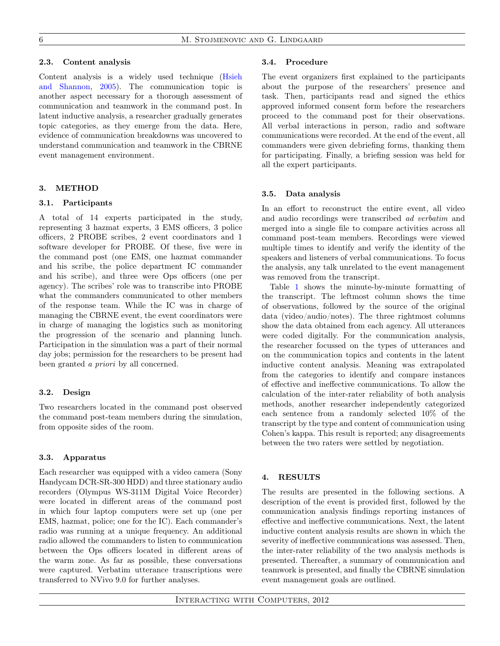## 2.3. Content analysis

Content analysis is a widely used technique [\(Hsieh](#page-14-25) [and Shannon,](#page-14-25) [2005\)](#page-14-25). The communication topic is another aspect necessary for a thorough assessment of communication and teamwork in the command post. In latent inductive analysis, a researcher gradually generates topic categories, as they emerge from the data. Here, evidence of communication breakdowns was uncovered to understand communication and teamwork in the CBRNE event management environment.

# 3. METHOD

#### 3.1. Participants

A total of 14 experts participated in the study, representing 3 hazmat experts, 3 EMS officers, 3 police officers, 2 PROBE scribes, 2 event coordinators and 1 software developer for PROBE. Of these, five were in the command post (one EMS, one hazmat commander and his scribe, the police department IC commander and his scribe), and three were Ops officers (one per agency). The scribes' role was to transcribe into PROBE what the commanders communicated to other members of the response team. While the IC was in charge of managing the CBRNE event, the event coordinators were in charge of managing the logistics such as monitoring the progression of the scenario and planning lunch. Participation in the simulation was a part of their normal day jobs; permission for the researchers to be present had been granted a priori by all concerned.

## 3.2. Design

Two researchers located in the command post observed the command post-team members during the simulation, from opposite sides of the room.

#### 3.3. Apparatus

Each researcher was equipped with a video camera (Sony Handycam DCR-SR-300 HDD) and three stationary audio recorders (Olympus WS-311M Digital Voice Recorder) were located in different areas of the command post in which four laptop computers were set up (one per EMS, hazmat, police; one for the IC). Each commander's radio was running at a unique frequency. An additional radio allowed the commanders to listen to communication between the Ops officers located in different areas of the warm zone. As far as possible, these conversations were captured. Verbatim utterance transcriptions were transferred to NVivo 9.0 for further analyses.

#### 3.4. Procedure

The event organizers first explained to the participants about the purpose of the researchers' presence and task. Then, participants read and signed the ethics approved informed consent form before the researchers proceed to the command post for their observations. All verbal interactions in person, radio and software communications were recorded. At the end of the event, all commanders were given debriefing forms, thanking them for participating. Finally, a briefing session was held for all the expert participants.

#### 3.5. Data analysis

In an effort to reconstruct the entire event, all video and audio recordings were transcribed ad verbatim and merged into a single file to compare activities across all command post-team members. Recordings were viewed multiple times to identify and verify the identity of the speakers and listeners of verbal communications. To focus the analysis, any talk unrelated to the event management was removed from the transcript.

Table [1](#page-6-0) shows the minute-by-minute formatting of the transcript. The leftmost column shows the time of observations, followed by the source of the original data (video/audio/notes). The three rightmost columns show the data obtained from each agency. All utterances were coded digitally. For the communication analysis, the researcher focussed on the types of utterances and on the communication topics and contents in the latent inductive content analysis. Meaning was extrapolated from the categories to identify and compare instances of effective and ineffective communications. To allow the calculation of the inter-rater reliability of both analysis methods, another researcher independently categorized each sentence from a randomly selected 10% of the transcript by the type and content of communication using Cohen's kappa. This result is reported; any disagreements between the two raters were settled by negotiation.

## 4. RESULTS

The results are presented in the following sections. A description of the event is provided first, followed by the communication analysis findings reporting instances of effective and ineffective communications. Next, the latent inductive content analysis results are shown in which the severity of ineffective communications was assessed. Then, the inter-rater reliability of the two analysis methods is presented. Thereafter, a summary of communication and teamwork is presented, and finally the CBRNE simulation event management goals are outlined.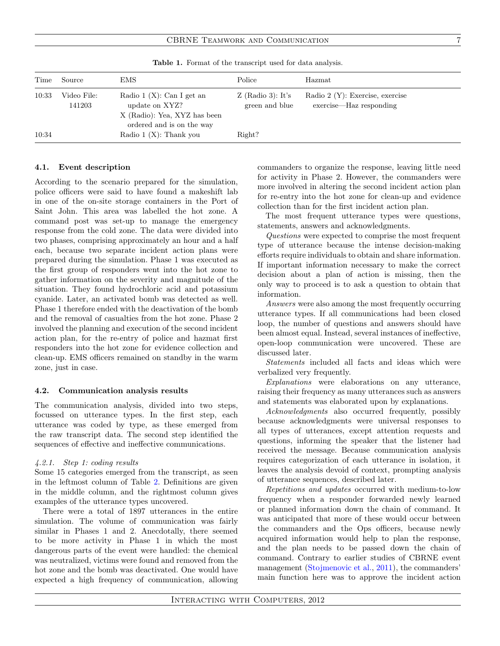<span id="page-6-0"></span>CBRNE TEAMWORK AND COMMUNICATION 7

| Time  | Source                | EMS                                                                                                         | Police                                | Hazmat                                                       |
|-------|-----------------------|-------------------------------------------------------------------------------------------------------------|---------------------------------------|--------------------------------------------------------------|
| 10:33 | Video File:<br>141203 | Radio 1 $(X)$ : Can I get an<br>update on XYZ?<br>X (Radio): Yea, XYZ has been<br>ordered and is on the way | $Z$ (Radio 3): It's<br>green and blue | Radio $2(Y)$ : Exercise, exercise<br>exercise—Haz responding |
| 10:34 |                       | Radio $1(X)$ : Thank you                                                                                    | Right?                                |                                                              |

Table 1. Format of the transcript used for data analysis.

# 4.1. Event description

According to the scenario prepared for the simulation, police officers were said to have found a makeshift lab in one of the on-site storage containers in the Port of Saint John. This area was labelled the hot zone. A command post was set-up to manage the emergency response from the cold zone. The data were divided into two phases, comprising approximately an hour and a half each, because two separate incident action plans were prepared during the simulation. Phase 1 was executed as the first group of responders went into the hot zone to gather information on the severity and magnitude of the situation. They found hydrochloric acid and potassium cyanide. Later, an activated bomb was detected as well. Phase 1 therefore ended with the deactivation of the bomb and the removal of casualties from the hot zone. Phase 2 involved the planning and execution of the second incident action plan, for the re-entry of police and hazmat first responders into the hot zone for evidence collection and clean-up. EMS officers remained on standby in the warm zone, just in case.

## 4.2. Communication analysis results

The communication analysis, divided into two steps, focussed on utterance types. In the first step, each utterance was coded by type, as these emerged from the raw transcript data. The second step identified the sequences of effective and ineffective communications.

## 4.2.1. Step 1: coding results

Some 15 categories emerged from the transcript, as seen in the leftmost column of Table [2.](#page-7-0) Definitions are given in the middle column, and the rightmost column gives examples of the utterance types uncovered.

There were a total of 1897 utterances in the entire simulation. The volume of communication was fairly similar in Phases 1 and 2. Anecdotally, there seemed to be more activity in Phase 1 in which the most dangerous parts of the event were handled: the chemical was neutralized, victims were found and removed from the hot zone and the bomb was deactivated. One would have expected a high frequency of communication, allowing commanders to organize the response, leaving little need for activity in Phase 2. However, the commanders were more involved in altering the second incident action plan for re-entry into the hot zone for clean-up and evidence collection than for the first incident action plan.

The most frequent utterance types were questions, statements, answers and acknowledgments.

Questions were expected to comprise the most frequent type of utterance because the intense decision-making efforts require individuals to obtain and share information. If important information necessary to make the correct decision about a plan of action is missing, then the only way to proceed is to ask a question to obtain that information.

Answers were also among the most frequently occurring utterance types. If all communications had been closed loop, the number of questions and answers should have been almost equal. Instead, several instances of ineffective, open-loop communication were uncovered. These are discussed later.

Statements included all facts and ideas which were verbalized very frequently.

Explanations were elaborations on any utterance, raising their frequency as many utterances such as answers and statements was elaborated upon by explanations.

Acknowledgments also occurred frequently, possibly because acknowledgments were universal responses to all types of utterances, except attention requests and questions, informing the speaker that the listener had received the message. Because communication analysis requires categorization of each utterance in isolation, it leaves the analysis devoid of context, prompting analysis of utterance sequences, described later.

Repetitions and updates occurred with medium-to-low frequency when a responder forwarded newly learned or planned information down the chain of command. It was anticipated that more of these would occur between the commanders and the Ops officers, because newly acquired information would help to plan the response, and the plan needs to be passed down the chain of command. Contrary to earlier studies of CBRNE event management [\(Stojmenovic et al.,](#page-15-0) [2011\)](#page-15-0), the commanders' main function here was to approve the incident action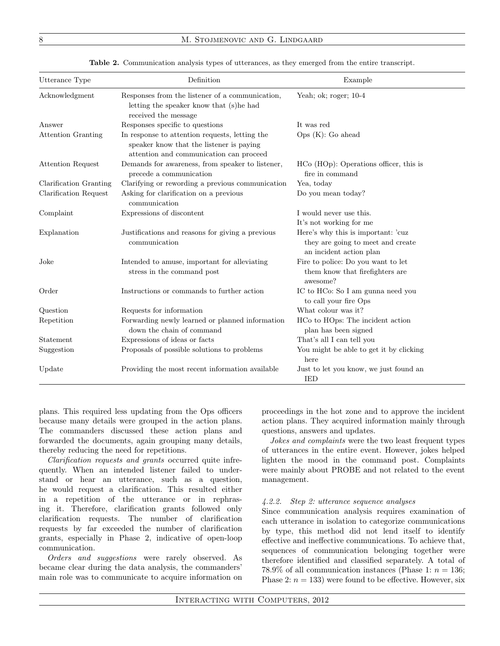## 8 M. STOJMENOVIC AND G. LINDGAARD

| Utterance Type            | Definition                                                                                                                            | Example                                                                                            |
|---------------------------|---------------------------------------------------------------------------------------------------------------------------------------|----------------------------------------------------------------------------------------------------|
| Acknowledgment            | Responses from the listener of a communication,<br>letting the speaker know that (s)he had<br>received the message                    | Yeah; ok; roger; $10-4$                                                                            |
| Answer                    | Responses specific to questions                                                                                                       | It was red                                                                                         |
| <b>Attention Granting</b> | In response to attention requests, letting the<br>speaker know that the listener is paying<br>attention and communication can proceed | Ops(K):Go ahead                                                                                    |
| <b>Attention Request</b>  | Demands for awareness, from speaker to listener,<br>precede a communication                                                           | $HCo$ (HOp): Operations officer, this is<br>fire in command                                        |
| Clarification Granting    | Clarifying or rewording a previous communication                                                                                      | Yea, today                                                                                         |
| Clarification Request     | Asking for clarification on a previous<br>communication                                                                               | Do you mean today?                                                                                 |
| Complaint                 | Expressions of discontent                                                                                                             | I would never use this.<br>It's not working for me                                                 |
| Explanation               | Justifications and reasons for giving a previous<br>communication                                                                     | Here's why this is important: 'cuz<br>they are going to meet and create<br>an incident action plan |
| Joke                      | Intended to amuse, important for alleviating<br>stress in the command post                                                            | Fire to police: Do you want to let<br>them know that firefighters are<br>awesome?                  |
| Order                     | Instructions or commands to further action                                                                                            | IC to HCo: So I am gunna need you<br>to call your fire Ops                                         |
| Question                  | Requests for information                                                                                                              | What colour was it?                                                                                |
| Repetition                | Forwarding newly learned or planned information<br>down the chain of command                                                          | HCo to HOps: The incident action<br>plan has been signed                                           |
| Statement                 | Expressions of ideas or facts                                                                                                         | That's all I can tell you                                                                          |
| Suggestion                | Proposals of possible solutions to problems                                                                                           | You might be able to get it by clicking<br>here                                                    |
| Update                    | Providing the most recent information available                                                                                       | Just to let you know, we just found an<br><b>IED</b>                                               |

<span id="page-7-0"></span>Table 2. Communication analysis types of utterances, as they emerged from the entire transcript.

plans. This required less updating from the Ops officers because many details were grouped in the action plans. The commanders discussed these action plans and forwarded the documents, again grouping many details, thereby reducing the need for repetitions.

Clarification requests and grants occurred quite infrequently. When an intended listener failed to understand or hear an utterance, such as a question, he would request a clarification. This resulted either in a repetition of the utterance or in rephrasing it. Therefore, clarification grants followed only clarification requests. The number of clarification requests by far exceeded the number of clarification grants, especially in Phase 2, indicative of open-loop communication.

Orders and suggestions were rarely observed. As became clear during the data analysis, the commanders' main role was to communicate to acquire information on proceedings in the hot zone and to approve the incident action plans. They acquired information mainly through questions, answers and updates.

Jokes and complaints were the two least frequent types of utterances in the entire event. However, jokes helped lighten the mood in the command post. Complaints were mainly about PROBE and not related to the event management.

#### 4.2.2. Step 2: utterance sequence analyses

Since communication analysis requires examination of each utterance in isolation to categorize communications by type, this method did not lend itself to identify effective and ineffective communications. To achieve that, sequences of communication belonging together were therefore identified and classified separately. A total of 78.9% of all communication instances (Phase 1:  $n = 136$ ; Phase 2:  $n = 133$ ) were found to be effective. However, six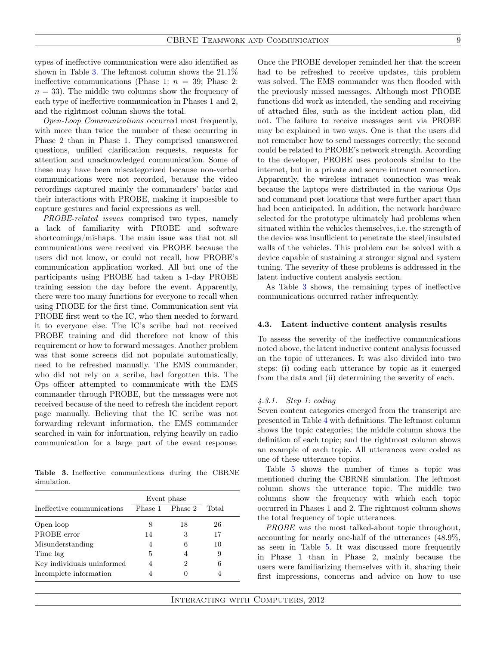types of ineffective communication were also identified as shown in Table [3.](#page-8-0) The leftmost column shows the 21.1% ineffective communications (Phase 1:  $n = 39$ ; Phase 2:  $n = 33$ ). The middle two columns show the frequency of each type of ineffective communication in Phases 1 and 2, and the rightmost column shows the total.

Open-Loop Communications occurred most frequently, with more than twice the number of these occurring in Phase 2 than in Phase 1. They comprised unanswered questions, unfilled clarification requests, requests for attention and unacknowledged communication. Some of these may have been miscategorized because non-verbal communications were not recorded, because the video recordings captured mainly the commanders' backs and their interactions with PROBE, making it impossible to capture gestures and facial expressions as well.

PROBE-related issues comprised two types, namely a lack of familiarity with PROBE and software shortcomings/mishaps. The main issue was that not all communications were received via PROBE because the users did not know, or could not recall, how PROBE's communication application worked. All but one of the participants using PROBE had taken a 1-day PROBE training session the day before the event. Apparently, there were too many functions for everyone to recall when using PROBE for the first time. Communication sent via PROBE first went to the IC, who then needed to forward it to everyone else. The IC's scribe had not received PROBE training and did therefore not know of this requirement or how to forward messages. Another problem was that some screens did not populate automatically, need to be refreshed manually. The EMS commander, who did not rely on a scribe, had forgotten this. The Ops officer attempted to communicate with the EMS commander through PROBE, but the messages were not received because of the need to refresh the incident report page manually. Believing that the IC scribe was not forwarding relevant information, the EMS commander searched in vain for information, relying heavily on radio communication for a large part of the event response.

<span id="page-8-0"></span>Table 3. Ineffective communications during the CBRNE simulation.

|                            | Event phase |                 |       |
|----------------------------|-------------|-----------------|-------|
| Ineffective communications |             | Phase 1 Phase 2 | Total |
| Open loop                  | 8           | 18              | 26    |
| PROBE error                | 14          | 3               | 17    |
| Misunderstanding           | 4           | 6               | 10    |
| Time lag                   | 5           |                 | 9     |
| Key individuals uninformed | 4           | 2               | 6     |
| Incomplete information     | 4           |                 |       |

Once the PROBE developer reminded her that the screen had to be refreshed to receive updates, this problem was solved. The EMS commander was then flooded with the previously missed messages. Although most PROBE functions did work as intended, the sending and receiving of attached files, such as the incident action plan, did not. The failure to receive messages sent via PROBE may be explained in two ways. One is that the users did not remember how to send messages correctly; the second could be related to PROBE's network strength. According to the developer, PROBE uses protocols similar to the internet, but in a private and secure intranet connection. Apparently, the wireless intranet connection was weak because the laptops were distributed in the various Ops and command post locations that were further apart than had been anticipated. In addition, the network hardware selected for the prototype ultimately had problems when situated within the vehicles themselves, i.e. the strength of the device was insufficient to penetrate the steel/insulated walls of the vehicles. This problem can be solved with a device capable of sustaining a stronger signal and system tuning. The severity of these problems is addressed in the latent inductive content analysis section.

As Table [3](#page-8-0) shows, the remaining types of ineffective communications occurred rather infrequently.

#### 4.3. Latent inductive content analysis results

To assess the severity of the ineffective communications noted above, the latent inductive content analysis focussed on the topic of utterances. It was also divided into two steps: (i) coding each utterance by topic as it emerged from the data and (ii) determining the severity of each.

#### 4.3.1. Step 1: coding

Seven content categories emerged from the transcript are presented in Table [4](#page-9-0) with definitions. The leftmost column shows the topic categories; the middle column shows the definition of each topic; and the rightmost column shows an example of each topic. All utterances were coded as one of these utterance topics.

Table [5](#page-9-1) shows the number of times a topic was mentioned during the CBRNE simulation. The leftmost column shows the utterance topic. The middle two columns show the frequency with which each topic occurred in Phases 1 and 2. The rightmost column shows the total frequency of topic utterances.

PROBE was the most talked-about topic throughout, accounting for nearly one-half of the utterances (48.9%, as seen in Table [5.](#page-9-1) It was discussed more frequently in Phase 1 than in Phase 2, mainly because the users were familiarizing themselves with it, sharing their first impressions, concerns and advice on how to use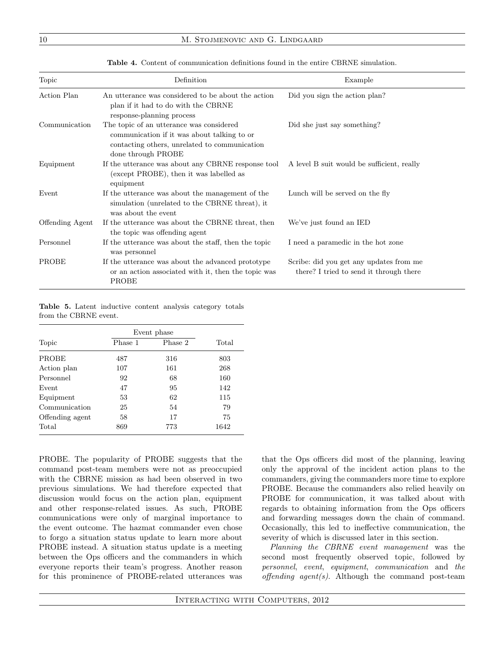| Topic           | Definition                                                                                                                                                     | Example                                                                            |
|-----------------|----------------------------------------------------------------------------------------------------------------------------------------------------------------|------------------------------------------------------------------------------------|
| Action Plan     | An utterance was considered to be about the action<br>plan if it had to do with the CBRNE<br>response-planning process                                         | Did you sign the action plan?                                                      |
| Communication   | The topic of an utterance was considered<br>communication if it was about talking to or<br>contacting others, unrelated to communication<br>done through PROBE | Did she just say something?                                                        |
| Equipment       | If the utterance was about any CBRNE response tool<br>(except PROBE), then it was labelled as<br>equipment                                                     | A level B suit would be sufficient, really                                         |
| Event           | If the utterance was about the management of the<br>simulation (unrelated to the CBRNE threat), it<br>was about the event                                      | Lunch will be served on the fly                                                    |
| Offending Agent | If the utterance was about the CBRNE threat, then<br>the topic was offending agent                                                                             | We've just found an IED                                                            |
| Personnel       | If the utterance was about the staff, then the topic<br>was personnel                                                                                          | I need a paramedic in the hot zone                                                 |
| PROBE           | If the utterance was about the advanced prototype<br>or an action associated with it, then the topic was<br>PROBE                                              | Scribe: did you get any updates from me<br>there? I tried to send it through there |

<span id="page-9-0"></span>Table 4. Content of communication definitions found in the entire CBRNE simulation.

<span id="page-9-1"></span>Table 5. Latent inductive content analysis category totals from the CBRNE event.

|                 |         | Event phase |       |  |
|-----------------|---------|-------------|-------|--|
| Topic           | Phase 1 | Phase 2     | Total |  |
| PROBE           | 487     | 316         | 803   |  |
| Action plan     | 107     | 161         | 268   |  |
| Personnel       | 92      | 68          | 160   |  |
| Event           | 47      | 95          | 142   |  |
| Equipment       | 53      | 62          | 115   |  |
| Communication   | 25      | 54          | 79    |  |
| Offending agent | 58      | 17          | 75    |  |
| Total           | 869     | 773         | 1642  |  |

PROBE. The popularity of PROBE suggests that the command post-team members were not as preoccupied with the CBRNE mission as had been observed in two previous simulations. We had therefore expected that discussion would focus on the action plan, equipment and other response-related issues. As such, PROBE communications were only of marginal importance to the event outcome. The hazmat commander even chose to forgo a situation status update to learn more about PROBE instead. A situation status update is a meeting between the Ops officers and the commanders in which everyone reports their team's progress. Another reason for this prominence of PROBE-related utterances was that the Ops officers did most of the planning, leaving only the approval of the incident action plans to the commanders, giving the commanders more time to explore PROBE. Because the commanders also relied heavily on PROBE for communication, it was talked about with regards to obtaining information from the Ops officers and forwarding messages down the chain of command. Occasionally, this led to ineffective communication, the severity of which is discussed later in this section.

Planning the CBRNE event management was the second most frequently observed topic, followed by personnel, event, equipment, communication and the offending agent(s). Although the command post-team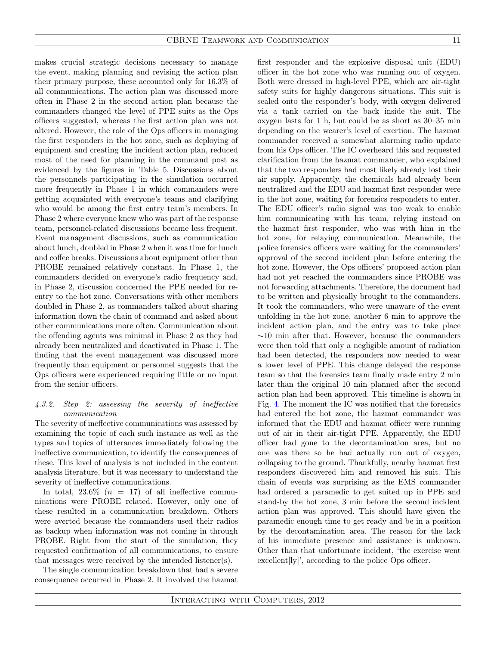makes crucial strategic decisions necessary to manage the event, making planning and revising the action plan their primary purpose, these accounted only for 16.3% of all communications. The action plan was discussed more often in Phase 2 in the second action plan because the commanders changed the level of PPE suits as the Ops officers suggested, whereas the first action plan was not altered. However, the role of the Ops officers in managing the first responders in the hot zone, such as deploying of equipment and creating the incident action plan, reduced most of the need for planning in the command post as evidenced by the figures in Table [5.](#page-9-1) Discussions about the personnels participating in the simulation occurred more frequently in Phase 1 in which commanders were getting acquainted with everyone's teams and clarifying who would be among the first entry team's members. In Phase 2 where everyone knew who was part of the response team, personnel-related discussions became less frequent. Event management discussions, such as communication about lunch, doubled in Phase 2 when it was time for lunch and coffee breaks. Discussions about equipment other than PROBE remained relatively constant. In Phase 1, the commanders decided on everyone's radio frequency and, in Phase 2, discussion concerned the PPE needed for reentry to the hot zone. Conversations with other members doubled in Phase 2, as commanders talked about sharing information down the chain of command and asked about other communications more often. Communication about the offending agents was minimal in Phase 2 as they had already been neutralized and deactivated in Phase 1. The finding that the event management was discussed more frequently than equipment or personnel suggests that the Ops officers were experienced requiring little or no input from the senior officers.

## 4.3.2. Step 2: assessing the severity of ineffective communication

The severity of ineffective communications was assessed by examining the topic of each such instance as well as the types and topics of utterances immediately following the ineffective communication, to identify the consequences of these. This level of analysis is not included in the content analysis literature, but it was necessary to understand the severity of ineffective communications.

In total,  $23.6\%$  ( $n = 17$ ) of all ineffective communications were PROBE related. However, only one of these resulted in a communication breakdown. Others were averted because the commanders used their radios as backup when information was not coming in through PROBE. Right from the start of the simulation, they requested confirmation of all communications, to ensure that messages were received by the intended listener(s).

The single communication breakdown that had a severe consequence occurred in Phase 2. It involved the hazmat

first responder and the explosive disposal unit (EDU) officer in the hot zone who was running out of oxygen. Both were dressed in high-level PPE, which are air-tight safety suits for highly dangerous situations. This suit is sealed onto the responder's body, with oxygen delivered via a tank carried on the back inside the suit. The oxygen lasts for 1 h, but could be as short as 30–35 min depending on the wearer's level of exertion. The hazmat commander received a somewhat alarming radio update from his Ops officer. The IC overheard this and requested clarification from the hazmat commander, who explained that the two responders had most likely already lost their air supply. Apparently, the chemicals had already been neutralized and the EDU and hazmat first responder were in the hot zone, waiting for forensics responders to enter. The EDU officer's radio signal was too weak to enable him communicating with his team, relying instead on the hazmat first responder, who was with him in the hot zone, for relaying communication. Meanwhile, the police forensics officers were waiting for the commanders' approval of the second incident plan before entering the hot zone. However, the Ops officers' proposed action plan had not yet reached the commanders since PROBE was not forwarding attachments. Therefore, the document had to be written and physically brought to the commanders. It took the commanders, who were unaware of the event unfolding in the hot zone, another 6 min to approve the incident action plan, and the entry was to take place  $\sim$ 10 min after that. However, because the commanders were then told that only a negligible amount of radiation had been detected, the responders now needed to wear a lower level of PPE. This change delayed the response team so that the forensics team finally made entry 2 min later than the original 10 min planned after the second action plan had been approved. This timeline is shown in Fig. [4.](#page-11-0) The moment the IC was notified that the forensics had entered the hot zone, the hazmat commander was informed that the EDU and hazmat officer were running out of air in their air-tight PPE. Apparently, the EDU officer had gone to the decontamination area, but no one was there so he had actually run out of oxygen, collapsing to the ground. Thankfully, nearby hazmat first responders discovered him and removed his suit. This chain of events was surprising as the EMS commander had ordered a paramedic to get suited up in PPE and stand-by the hot zone, 3 min before the second incident action plan was approved. This should have given the paramedic enough time to get ready and be in a position by the decontamination area. The reason for the lack of his immediate presence and assistance is unknown. Other than that unfortunate incident, 'the exercise went excellent[ly]', according to the police Ops officer.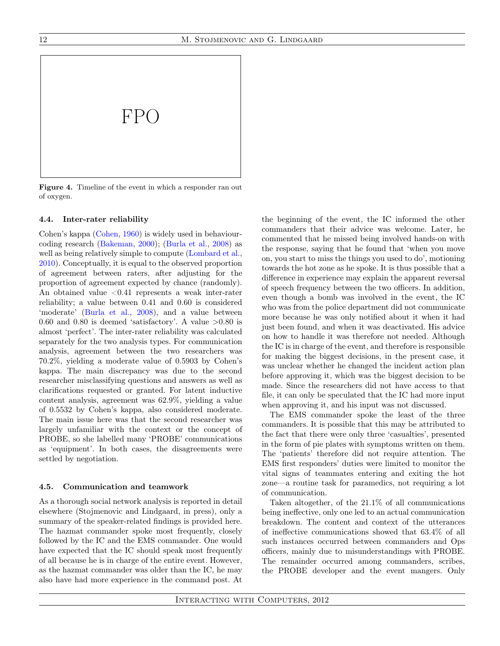

<span id="page-11-0"></span>Figure 4. Timeline of the event in which a responder ran out of oxygen.

## 4.4. Inter-rater reliability

Cohen's kappa [\(Cohen,](#page-14-26) [1960\)](#page-14-26) is widely used in behaviourcoding research [\(Bakeman,](#page-14-27) [2000\)](#page-14-27); [\(Burla et al.,](#page-14-28) [2008\)](#page-14-28) as well as being relatively simple to compute [\(Lombard et al.,](#page-14-29) [2010\)](#page-14-29). Conceptually, it is equal to the observed proportion of agreement between raters, after adjusting for the proportion of agreement expected by chance (randomly). An obtained value  $\leq 0.41$  represents a weak inter-rater reliability; a value between 0.41 and 0.60 is considered 'moderate' [\(Burla et al.,](#page-14-28) [2008\)](#page-14-28), and a value between 0.60 and 0.80 is deemed 'satisfactory'. A value  $>0.80$  is almost 'perfect'. The inter-rater reliability was calculated separately for the two analysis types. For communication analysis, agreement between the two researchers was 70.2%, yielding a moderate value of 0.5903 by Cohen's kappa. The main discrepancy was due to the second researcher misclassifying questions and answers as well as clarifications requested or granted. For latent inductive content analysis, agreement was 62.9%, yielding a value of 0.5532 by Cohen's kappa, also considered moderate. The main issue here was that the second researcher was largely unfamiliar with the context or the concept of PROBE, so she labelled many 'PROBE' communications as 'equipment'. In both cases, the disagreements were settled by negotiation.

#### 4.5. Communication and teamwork

As a thorough social network analysis is reported in detail elsewhere (Stojmenovic and Lindgaard, in press), only a summary of the speaker-related findings is provided here. The hazmat commander spoke most frequently, closely followed by the IC and the EMS commander. One would have expected that the IC should speak most frequently of all because he is in charge of the entire event. However, as the hazmat commander was older than the IC, he may also have had more experience in the command post. At the beginning of the event, the IC informed the other commanders that their advice was welcome. Later, he commented that he missed being involved hands-on with the response, saying that he found that 'when you move on, you start to miss the things you used to do', motioning towards the hot zone as he spoke. It is thus possible that a difference in experience may explain the apparent reversal of speech frequency between the two officers. In addition, even though a bomb was involved in the event, the IC who was from the police department did not communicate more because he was only notified about it when it had just been found, and when it was deactivated. His advice on how to handle it was therefore not needed. Although the IC is in charge of the event, and therefore is responsible for making the biggest decisions, in the present case, it was unclear whether he changed the incident action plan before approving it, which was the biggest decision to be made. Since the researchers did not have access to that file, it can only be speculated that the IC had more input when approving it, and his input was not discussed.

The EMS commander spoke the least of the three commanders. It is possible that this may be attributed to the fact that there were only three 'casualties', presented in the form of pie plates with symptoms written on them. The 'patients' therefore did not require attention. The EMS first responders' duties were limited to monitor the vital signs of teammates entering and exiting the hot zone—a routine task for paramedics, not requiring a lot of communication.

Taken altogether, of the 21.1% of all communications being ineffective, only one led to an actual communication breakdown. The content and context of the utterances of ineffective communications showed that 63.4% of all such instances occurred between commanders and Ops officers, mainly due to misunderstandings with PROBE. The remainder occurred among commanders, scribes, the PROBE developer and the event mangers. Only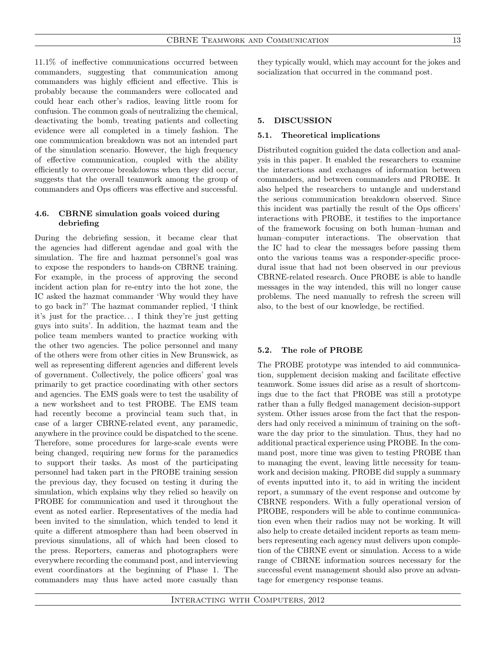11.1% of ineffective communications occurred between commanders, suggesting that communication among commanders was highly efficient and effective. This is probably because the commanders were collocated and could hear each other's radios, leaving little room for confusion. The common goals of neutralizing the chemical, deactivating the bomb, treating patients and collecting evidence were all completed in a timely fashion. The one communication breakdown was not an intended part of the simulation scenario. However, the high frequency of effective communication, coupled with the ability efficiently to overcome breakdowns when they did occur, suggests that the overall teamwork among the group of commanders and Ops officers was effective and successful.

# 4.6. CBRNE simulation goals voiced during debriefing

During the debriefing session, it became clear that the agencies had different agendae and goal with the simulation. The fire and hazmat personnel's goal was to expose the responders to hands-on CBRNE training. For example, in the process of approving the second incident action plan for re-entry into the hot zone, the IC asked the hazmat commander 'Why would they have to go back in?' The hazmat commander replied, 'I think it's just for the practice. . . I think they're just getting guys into suits'. In addition, the hazmat team and the police team members wanted to practice working with the other two agencies. The police personnel and many of the others were from other cities in New Brunswick, as well as representing different agencies and different levels of government. Collectively, the police officers' goal was primarily to get practice coordinating with other sectors and agencies. The EMS goals were to test the usability of a new worksheet and to test PROBE. The EMS team had recently become a provincial team such that, in case of a larger CBRNE-related event, any paramedic, anywhere in the province could be dispatched to the scene. Therefore, some procedures for large-scale events were being changed, requiring new forms for the paramedics to support their tasks. As most of the participating personnel had taken part in the PROBE training session the previous day, they focused on testing it during the simulation, which explains why they relied so heavily on PROBE for communication and used it throughout the event as noted earlier. Representatives of the media had been invited to the simulation, which tended to lend it quite a different atmosphere than had been observed in previous simulations, all of which had been closed to the press. Reporters, cameras and photographers were everywhere recording the command post, and interviewing event coordinators at the beginning of Phase 1. The commanders may thus have acted more casually than

they typically would, which may account for the jokes and socialization that occurred in the command post.

## 5. DISCUSSION

#### 5.1. Theoretical implications

Distributed cognition guided the data collection and analysis in this paper. It enabled the researchers to examine the interactions and exchanges of information between commanders, and between commanders and PROBE. It also helped the researchers to untangle and understand the serious communication breakdown observed. Since this incident was partially the result of the Ops officers' interactions with PROBE, it testifies to the importance of the framework focusing on both human–human and human–computer interactions. The observation that the IC had to clear the messages before passing them onto the various teams was a responder-specific procedural issue that had not been observed in our previous CBRNE-related research. Once PROBE is able to handle messages in the way intended, this will no longer cause problems. The need manually to refresh the screen will also, to the best of our knowledge, be rectified.

#### 5.2. The role of PROBE

The PROBE prototype was intended to aid communication, supplement decision making and facilitate effective teamwork. Some issues did arise as a result of shortcomings due to the fact that PROBE was still a prototype rather than a fully fledged management decision-support system. Other issues arose from the fact that the responders had only received a minimum of training on the software the day prior to the simulation. Thus, they had no additional practical experience using PROBE. In the command post, more time was given to testing PROBE than to managing the event, leaving little necessity for teamwork and decision making. PROBE did supply a summary of events inputted into it, to aid in writing the incident report, a summary of the event response and outcome by CBRNE responders. With a fully operational version of PROBE, responders will be able to continue communication even when their radios may not be working. It will also help to create detailed incident reports as team members representing each agency must delivers upon completion of the CBRNE event or simulation. Access to a wide range of CBRNE information sources necessary for the successful event management should also prove an advantage for emergency response teams.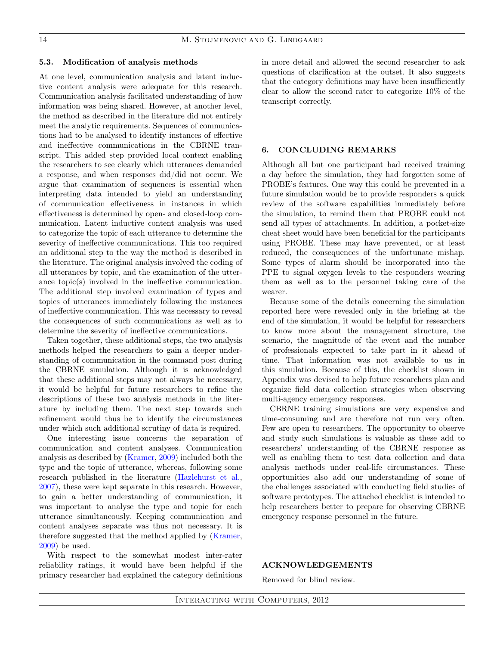#### 5.3. Modification of analysis methods

At one level, communication analysis and latent inductive content analysis were adequate for this research. Communication analysis facilitated understanding of how information was being shared. However, at another level, the method as described in the literature did not entirely meet the analytic requirements. Sequences of communications had to be analysed to identify instances of effective and ineffective communications in the CBRNE transcript. This added step provided local context enabling the researchers to see clearly which utterances demanded a response, and when responses did/did not occur. We argue that examination of sequences is essential when interpreting data intended to yield an understanding of communication effectiveness in instances in which effectiveness is determined by open- and closed-loop communication. Latent inductive content analysis was used to categorize the topic of each utterance to determine the severity of ineffective communications. This too required an additional step to the way the method is described in the literature. The original analysis involved the coding of all utterances by topic, and the examination of the utterance topic(s) involved in the ineffective communication. The additional step involved examination of types and topics of utterances immediately following the instances of ineffective communication. This was necessary to reveal the consequences of such communications as well as to determine the severity of ineffective communications.

Taken together, these additional steps, the two analysis methods helped the researchers to gain a deeper understanding of communication in the command post during the CBRNE simulation. Although it is acknowledged that these additional steps may not always be necessary, it would be helpful for future researchers to refine the descriptions of these two analysis methods in the literature by including them. The next step towards such refinement would thus be to identify the circumstances under which such additional scrutiny of data is required.

One interesting issue concerns the separation of communication and content analyses. Communication analysis as described by [\(Kramer,](#page-14-23) [2009\)](#page-14-23) included both the type and the topic of utterance, whereas, following some research published in the literature [\(Hazlehurst et al.,](#page-14-19) [2007\)](#page-14-19), these were kept separate in this research. However, to gain a better understanding of communication, it was important to analyse the type and topic for each utterance simultaneously. Keeping communication and content analyses separate was thus not necessary. It is therefore suggested that the method applied by [\(Kramer,](#page-14-23) [2009\)](#page-14-23) be used.

With respect to the somewhat modest inter-rater reliability ratings, it would have been helpful if the primary researcher had explained the category definitions in more detail and allowed the second researcher to ask questions of clarification at the outset. It also suggests that the category definitions may have been insufficiently clear to allow the second rater to categorize 10% of the transcript correctly.

#### 6. CONCLUDING REMARKS

Although all but one participant had received training a day before the simulation, they had forgotten some of PROBE's features. One way this could be prevented in a future simulation would be to provide responders a quick review of the software capabilities immediately before the simulation, to remind them that PROBE could not send all types of attachments. In addition, a pocket-size cheat sheet would have been beneficial for the participants using PROBE. These may have prevented, or at least reduced, the consequences of the unfortunate mishap. Some types of alarm should be incorporated into the PPE to signal oxygen levels to the responders wearing them as well as to the personnel taking care of the wearer.

Because some of the details concerning the simulation reported here were revealed only in the briefing at the end of the simulation, it would be helpful for researchers to know more about the management structure, the scenario, the magnitude of the event and the number of professionals expected to take part in it ahead of time. That information was not available to us in this simulation. Because of this, the checklist shown in Appendix was devised to help future researchers plan and organize field data collection strategies when observing multi-agency emergency responses.

CBRNE training simulations are very expensive and time-consuming and are therefore not run very often. Few are open to researchers. The opportunity to observe and study such simulations is valuable as these add to researchers' understanding of the CBRNE response as well as enabling them to test data collection and data analysis methods under real-life circumstances. These opportunities also add our understanding of some of the challenges associated with conducting field studies of software prototypes. The attached checklist is intended to help researchers better to prepare for observing CBRNE emergency response personnel in the future.

# ACKNOWLEDGEMENTS

Removed for blind review.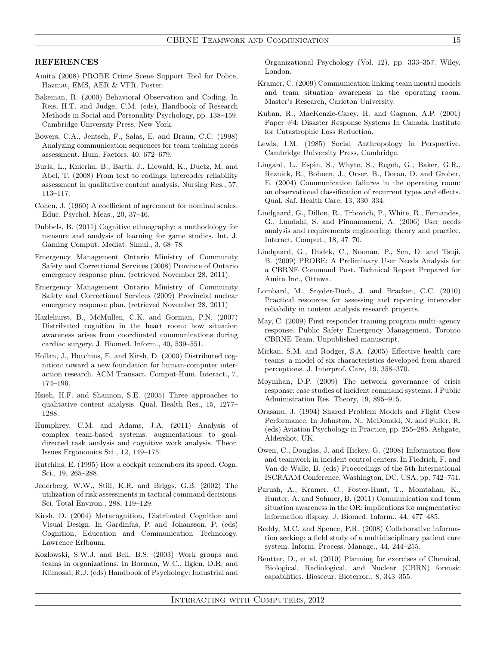#### **REFERENCES**

- <span id="page-14-1"></span>Amita (2008) PROBE Crime Scene Support Tool for Police, Hazmat, EMS, AER & VFR. Poster.
- <span id="page-14-27"></span>Bakeman, R. (2000) Behavioral Observation and Coding. In Reis, H.T. and Judge, C.M. (eds), Handbook of Research Methods in Social and Personality Psychology, pp. 138–159. Cambridge University Press, New York.
- <span id="page-14-21"></span>Bowers, C.A., Jentsch, F., Salas, E. and Braun, C.C. (1998) Analyzing communication sequences for team training needs assessment. Hum. Factors, 40, 672–679.
- <span id="page-14-28"></span>Burla, L., Knierim, B., Barth, J., Liewald, K., Duetz, M. and Abel, T. (2008) From text to codings: intercoder reliability assessment in qualitative content analysis. Nursing Res., 57, 113–117.
- <span id="page-14-26"></span>Cohen, J. (1960) A coefficient of agreement for nominal scales. Educ. Psychol. Meas., 20, 37–46.
- <span id="page-14-15"></span>Dubbels, B. (2011) Cognitive ethnography: a methodology for measure and analysis of learning for game studies. Int. J. Gaming Comput. Mediat. Simul., 3, 68–78.
- <span id="page-14-7"></span>Emergency Management Ontario Ministry of Community Safety and Correctional Services (2008) Province of Ontario emergency response plan. (retrieved November 28, 2011).
- <span id="page-14-8"></span>Emergency Management Ontario Ministry of Community Safety and Correctional Services (2009) Provincial nuclear emergency response plan. (retrieved November 28, 2011)
- <span id="page-14-19"></span>Hazlehurst, B., McMullen, C.K. and Gorman, P.N. (2007) Distributed cognition in the heart room: how situation awareness arises from coordinated communications during cardiac surgery. J. Biomed. Inform., 40, 539–551.
- <span id="page-14-12"></span>Hollan, J., Hutchins, E. and Kirsh, D. (2000) Distributed cognition: toward a new foundation for human-computer interaction research. ACM Transact. Comput-Hum. Interact., 7, 174–196.
- <span id="page-14-25"></span>Hsieh, H.F. and Shannon, S.E. (2005) Three approaches to qualitative content analysis. Qual. Health Res., 15, 1277– 1288.
- <span id="page-14-4"></span>Humphrey, C.M. and Adams, J.A. (2011) Analysis of complex team-based systems: augmentations to goaldirected task analysis and cognitive work analysis. Theor. Issues Ergonomics Sci., 12, 149–175.
- <span id="page-14-11"></span>Hutchins, E. (1995) How a cockpit remembers its speed. Cogn. Sci., 19, 265–288.
- <span id="page-14-10"></span>Jederberg, W.W., Still, K.R. and Briggs, G.B. (2002) The utilization of risk assessments in tactical command decisions. Sci. Total Environ., 288, 119–129.
- <span id="page-14-13"></span>Kirsh, D. (2004) Metacognition, Distributed Cognition and Visual Design. In Gardinfas, P. and Johansson, P. (eds) Cognition, Education and Communication Technology. Lawrence Erlbaum.
- <span id="page-14-16"></span>Kozlowski, S.W.J. and Bell, B.S. (2003) Work groups and teams in organizations. In Borman, W.C., Ilglen, D.R. and Klimoski, R.J. (eds) Handbook of Psychology: Industrial and

Organizational Psychology (Vol. 12), pp. 333–357. Wiley, London.

- <span id="page-14-23"></span>Kramer, C. (2009) Communication linking team mental models and team situation awareness in the operating room. Master's Research, Carleton University.
- <span id="page-14-0"></span>Kuban, R., MacKenzie-Carey, H. and Gagnon, A.P. (2001) Paper #4: Disaster Response Systems In Canada. Institute for Catastrophic Loss Reduction.
- <span id="page-14-14"></span>Lewis, I.M. (1985) Social Anthropology in Perspective. Cambridge University Press, Cambridge.
- <span id="page-14-22"></span>Lingard, L., Espin, S., Whyte, S., Regeh, G., Baker, G.R., Reznick, R., Bohnen, J., Orser, B., Doran, D. and Grober, E. (2004) Communication failures in the operating room: an observational classification of recurrent types and effects. Qual. Saf. Health Care, 13, 330–334.
- Lindgaard, G., Dillon, R., Trbovich, P., White, R., Fernandes, G., Lundahl, S. and Pinnamaneni, A. (2006) User needs analysis and requirements engineering: theory and practice. Interact. Comput., 18, 47–70.
- <span id="page-14-2"></span>Lindgaard, G., Dudek, C., Noonan, P., Sen, D. and Tsuji, B. (2009) PROBE: A Preliminary User Needs Analysis for a CBRNE Command Post. Technical Report Prepared for Amita Inc., Ottawa.
- <span id="page-14-29"></span>Lombard, M., Snyder-Duch, J. and Bracken, C.C. (2010) Practical resources for assessing and reporting intercoder reliability in content analysis research projects.
- <span id="page-14-3"></span>May, C. (2009) First responder training program multi-agency response. Public Safety Emergency Management, Toronto CBRNE Team. Unpublished manuscript.
- <span id="page-14-18"></span>Mickan, S.M. and Rodger, S.A. (2005) Effective health care teams: a model of six characteristics developed from shared perceptions. J. Interprof. Care, 19, 358–370.
- <span id="page-14-9"></span>Moynihan, D.P. (2009) The network governance of crisis response: case studies of incident command systems. J Public Administration Res. Theory, 19, 895–915.
- <span id="page-14-20"></span>Orasanu, J. (1994) Shared Problem Models and Flight Crew Performance. In Johnston, N., McDonald, N. and Fuller, R. (eds) Aviation Psychology in Practice, pp. 255–285. Ashgate, Aldershot, UK.
- <span id="page-14-6"></span>Owen, C., Douglas, J. and Hickey, G. (2008) Information flow and teamwork in incident control centers. In Fiedrich, F. and Van de Walle, B. (eds) Proceedings of the 5th International ISCRAAM Conference, Washington, DC, USA, pp. 742–751.
- <span id="page-14-24"></span>Parush, A., Kramer, C., Foster-Hunt, T., Momtahan, K., Hunter, A. and Sohmer, B. (2011) Communication and team situation awareness in the OR: implications for augmentative information display. J. Biomed. Inform., 44, 477–485.
- <span id="page-14-17"></span>Reddy, M.C. and Spence, P.R. (2008) Collaborative information seeking: a field study of a multidisciplinary patient care system. Inform. Process. Manage., 44, 244–255.
- <span id="page-14-5"></span>Reutter, D., et al. (2010) Planning for exercises of Chemical, Biological, Radiological, and Nuclear (CBRN) forensic capabilities. Biosecur. Bioterror., 8, 343–355.